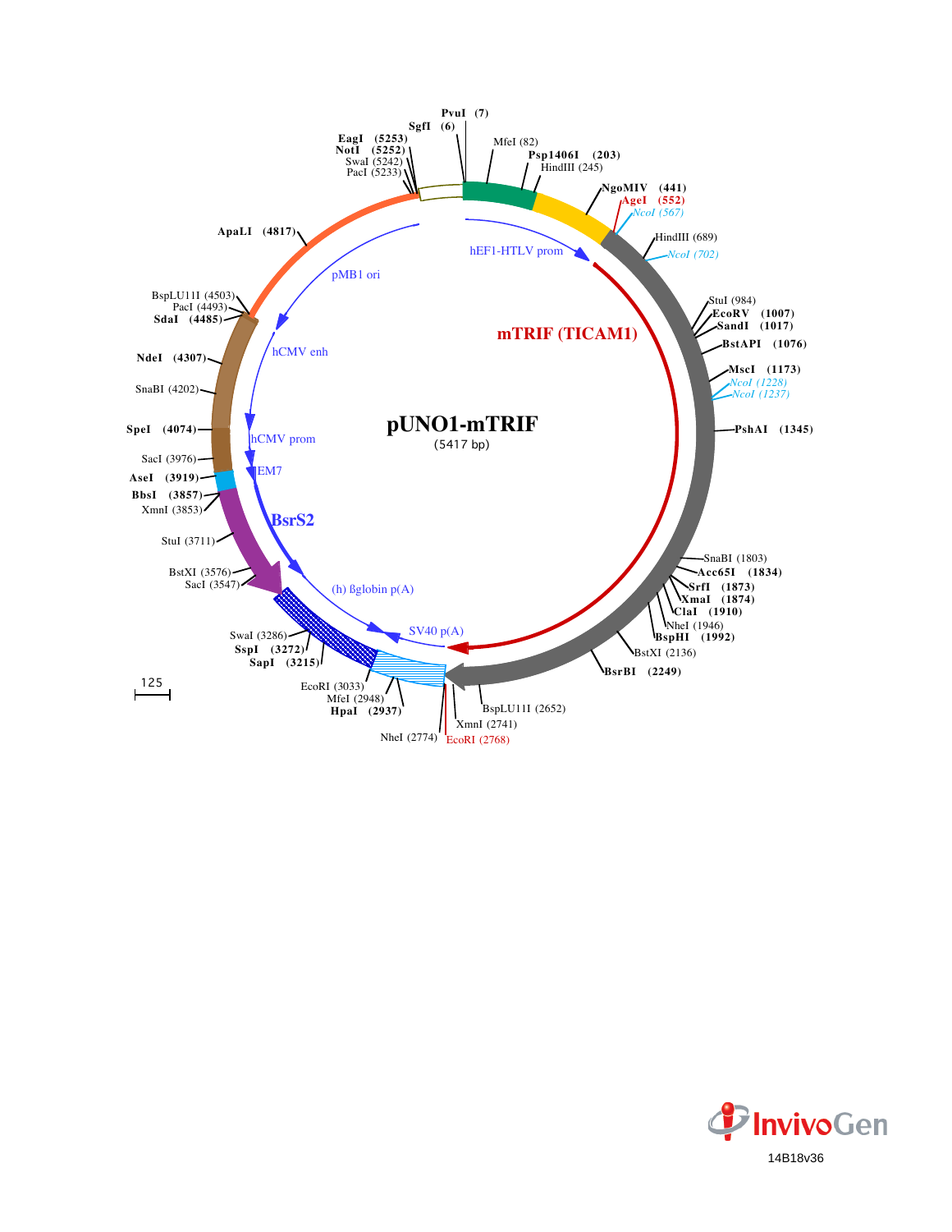

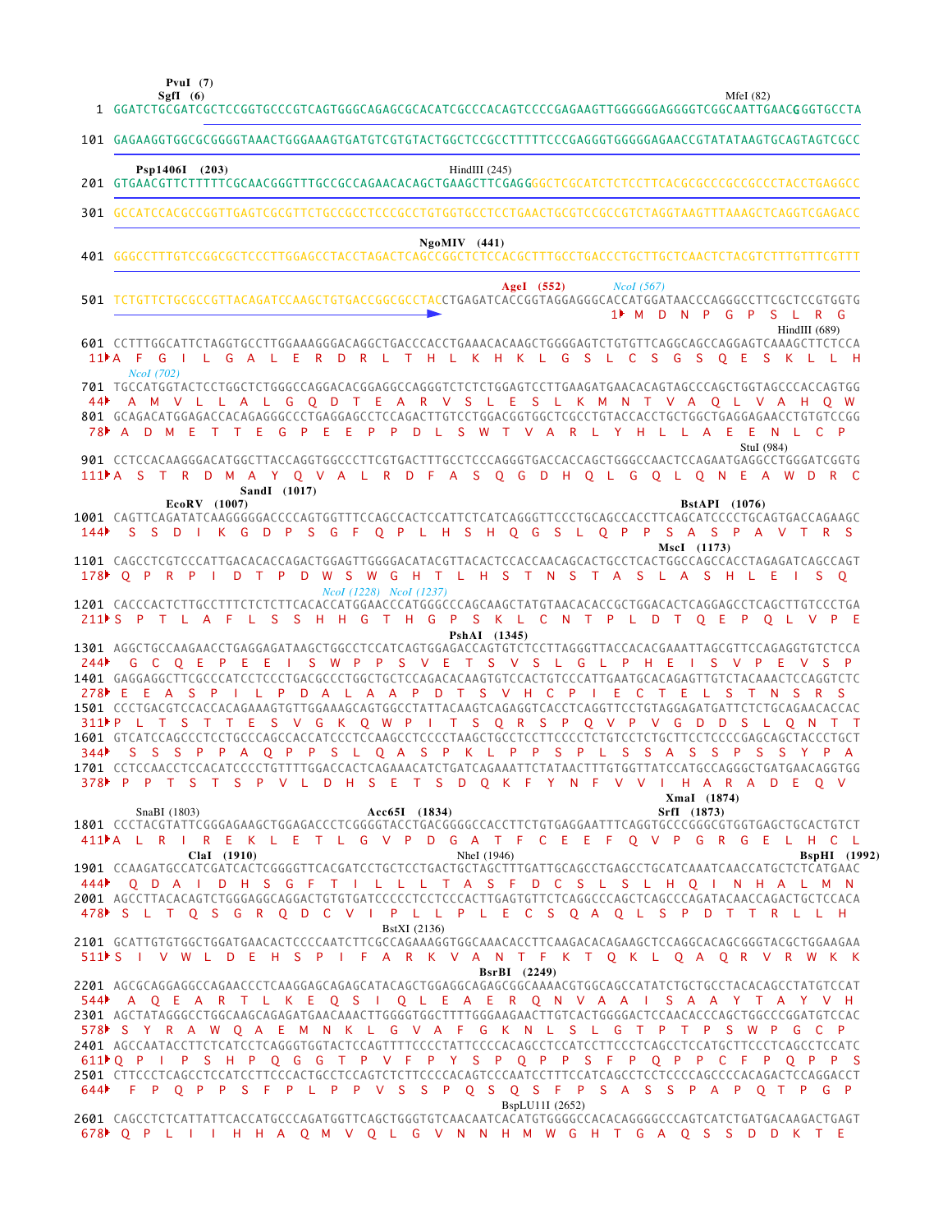**PvuI (7)**

1

|     | 101 GAGAAGGTGGCGCGGGGTAAACTGGGAAAGTGATGTCGTGTACTGGCTCCGCCTTTTTCCCGAGGGTGGGGAGAACCGTATATAAGTGCAGTAGTCGCC                                                                                                                                                                                                                                                                                                                                                                                                                                                                                                                                              |
|-----|------------------------------------------------------------------------------------------------------------------------------------------------------------------------------------------------------------------------------------------------------------------------------------------------------------------------------------------------------------------------------------------------------------------------------------------------------------------------------------------------------------------------------------------------------------------------------------------------------------------------------------------------------|
|     | Psp1406I (203)<br>HindIII $(245)$                                                                                                                                                                                                                                                                                                                                                                                                                                                                                                                                                                                                                    |
|     | 301 GCCATCCACGCCGGTTGAGTCGCGTTCTGCCGCCTCCCGCCTGTGGTGCCTCCTGAACTGCGTCCGCCGTCTAGGTAAGTTTAAAGCTCAGGTCGAGACC                                                                                                                                                                                                                                                                                                                                                                                                                                                                                                                                             |
|     | $NgoMIV$ (441)                                                                                                                                                                                                                                                                                                                                                                                                                                                                                                                                                                                                                                       |
|     | AgeI $(552)$<br>Ncol(567)<br>501 TCTGTTCTGCGCCGTTACAGATCCAAGCTGTGACCGGCGCCTACCTGAGATCACCGGTAGGAGGGCACCATGGATAACCCAGGGCCTTCGCTCCGTGGTG<br>1▶ M D N P G P S L R G                                                                                                                                                                                                                                                                                                                                                                                                                                                                                      |
|     | $HindIII$ (689)<br>601 CCTTTGGCATTCTAGGTGCCTTGGAAAGGGACAGGCTGACCCACCTGAAACACAAGCTGGGGAGTCTGTGTTCAGGCAGCCAGGAGTCAAAGCTTCTCCA<br>11 <sup>)</sup> A F G I L G A L E R D R L T H L K H K L G S L C S G S O E S K L L H                                                                                                                                                                                                                                                                                                                                                                                                                                   |
|     | <i>Ncol</i> (702)<br>701 TGCCATGGTACTCCTGGCTCTGGGCCAGGACACGGAGGCCAGGGTCTCTCTGGAGTCCTTGAAGATGAACACAGTAGCCCAGCTGGTAGCCCACCAGTGG                                                                                                                                                                                                                                                                                                                                                                                                                                                                                                                        |
|     | 44 A M V L L A L G Q D T E A R V S L E S L K M N T V A Q L V A H Q W<br>78 A D M E T T E G P E E P P D L S W T V A R L Y H L L A E E N L C P<br>StuI (984)                                                                                                                                                                                                                                                                                                                                                                                                                                                                                           |
|     | 901 CCTCCACAAGGGACATGGCTTACCAGGTGGCCCTTCGTGACTTTGCCTCCCAGGGTGACCACCAGCTGGGCCAACTCCAGAATGAGGCCTGGGATCGGTG<br>111PA S T R D M A Y O V A L R D F A S O G D H O L G O L O N E A W D R C<br>SandI (1017)                                                                                                                                                                                                                                                                                                                                                                                                                                                  |
| 144 | <b>BstAPI</b> (1076)<br>EcoRV (1007)<br>1001 CAGTTCAGATATCAAGGGGGACCCCAGTGGTTTCCAGCCACTCCATTCTCATCAGGGTTCCCTGCAGCCACCTTCAGCATCCCCTGCAGTGACCAGAAGC<br>S S D I K G D P S G F O P L H S H O G S L O P P S A S P A V T R S                                                                                                                                                                                                                                                                                                                                                                                                                               |
|     | MscI (1173)<br>178 O P R P I D T P D W S W G H T L H S T N S T A S L A S H L E I S O<br>Ncol (1228) Ncol (1237)                                                                                                                                                                                                                                                                                                                                                                                                                                                                                                                                      |
|     | 1201 CACCCACTCTTGCCTTTCTCTCTCTCACACCATGGAACCCATGGGCCCAGCAAGCTATGTAACACACCGCTGGACACTCAGGAGCCTCAGCTTGTCCCTGA<br>211 S P T L A F L S S H H G T H G P S K L C N T P L D T Q E P Q L V P E<br>PshAI (1345)                                                                                                                                                                                                                                                                                                                                                                                                                                                |
|     | 1301 AGGCTGCCAAGAACCTGAGGAGATAAGCTGGCCTCCATCAGTGGAGACCAGTGTCTCCTTAGGGTTACCACACGAAATTAGCGTTCCAGAGGTGTCTCCA<br>244 GCOEPEEI SWPPS VETS VSLGLPHEI SVPEVSP<br>1401 GAGGAGGCTTCGCCCATCCTCCCTGACGCCCTGGCTGCTCCAGACACAAGTGTCCACTGTCCCATTGAATGCACAGAGTTGTCTACAAACTCCAGGTCTC<br>278 EEAS PILPDALAAPDTS V HCPIECTELS TNSRS<br>1501 CCCTGACGTCCACCACAGAAAGTGTTGGAAAGCAGTGGCCTATTACAAGTCAGAGGTCACCTCAGGTTCCTGTAGGAGATGATTCTCTGCAGAACACCAC<br>311PL T S T T E S V G K O W P I T S O R S P O V P V G D D S L O N T T                                                                                                                                               |
|     | 344 S S S P P A Q P P S L Q A S P K L P P S P L S S A S S P S S Y P A<br>1701 CCTCCAACCTCCACATCCCCTGTTTTGGACCACTCAGAAACATCTGATCAGAAATTCTATAACTTTGTGGTTATCCATGCCAGGGCTGATGAACAGGTGG<br>378 PPT S T S P V L D H S E T S D O K F Y N F V V I H A R A D E O V<br>XmaI (1874)                                                                                                                                                                                                                                                                                                                                                                             |
|     | SnaBI (1803)<br>Acc65I (1834)<br>SrfI (1873)<br>1801 CCCTACGTATTCGGGAGAAGCTGGAGACCCTCGGGGTACCTGACGGGCCACCTTCTGTGAGGAATTTCAGGTGCCCGGGCGTGGTGAGCTGCACTGTCT<br>411M L R I R E K L E T L G V P D G A T F C E E F Q V P G R G E L H C L<br>ClaI (1910)<br>NheI (1946)                                                                                                                                                                                                                                                                                                                                                                                     |
|     | <b>BspHI</b> (1992)<br>1901 CCAAGATGCCATCGATCACTCGGGGTTCACGATCCTGCTCCTGACTGCTAGCTTTGATTGCAGCCTGAGCCTGCATCAAATCAACCATGCTCTCATGAAC<br>444 Q D A I D H S G F T I L L L T A S F D C S L S L H Q I N H A L M N<br>2001 AGCCTTACACAGTCTGGGAGGCAGGACTGTGTGATCCCCCTCCTCCCACTTGAGTGTTCTCAGGCCCAGCTCAGCCCAGATACAACCAGACTGCTCCACA<br>478 S L T Q S G R Q D C V I P L L P L E C S Q A Q L S P D T T R L L H                                                                                                                                                                                                                                                      |
|     | BstXI (2136)<br>2101 GCATTGTGTGGCTGGATGAACACTCCCCAATCTTCGCCAGAAAGGTGGCAAACACCTTCAAGACACAGAAGCTCCAGGCACAGCGGGTACGCTGGAAGAA<br>511 S I V W L D E H S P I F A R K V A N T F K T Q K L Q A Q R V R W K K<br>BsrBI (2249)                                                                                                                                                                                                                                                                                                                                                                                                                                 |
|     | 2201 AGCGCAGGAGGCCAGAACCCTCAAGGAGCAGAGCATACAGCTGGAGGCAGAGCGGCAAAACGTGGCAGCCATATCTGCTGCCTACACAGCCTATGTCCAT<br>544 A O E A R T L K E O S I O L E A E R O N V A A I S A A Y T A Y V H<br>2301 AGCTATAGGGCCTGGCAAGCAGAGATGAACAAACTTGGGGTGGCTTTTGGGAAGAACTTGTCACTGGGGACTCCAACACCCAGCTGGCCCGGATGTCCAC<br>578 SYRAWOAEM NKL GVAF GK NL SL GT PT PS WP G C P<br>2401 AGCCAATACCTTCTCATCCTCAGGGTGGTACTCCAGTTTTCCCCTATTCCCCACAGCCTCCATCCTTCCCTCCATGCTTCCCTCAGCCTCCATC<br>611 Q P I P S H P Q G G T P V F P Y S P Q P P S F P Q P P C F P Q P P S<br>2501 CTTCCCTCAGCCTCCATCCTTCCCACTGCCTCCAGTCTCTTCCCCACAGTCCCCAATCCTTTCCATCAGCCTCCTCCCCAGCCCCACAGACTCCAGGACCT |
|     | 644▶ FP Q P P S F P L P P V S S P Q S Q S F P S A S S P A P Q T P G P<br>BspLU11I (2652)<br>2601 CAGCCTCTCATTATTCACCATGCCCAGATGGTTCAGCTGGGTGTCAACAATCACATGTGGGGCCCACACAGGGGCCCAGTCATCTGATGACAAGACTGAGT<br>678 PLIIHHA Q M V Q L G V N N H M W G H T G A Q S S D D K T E                                                                                                                                                                                                                                                                                                                                                                              |